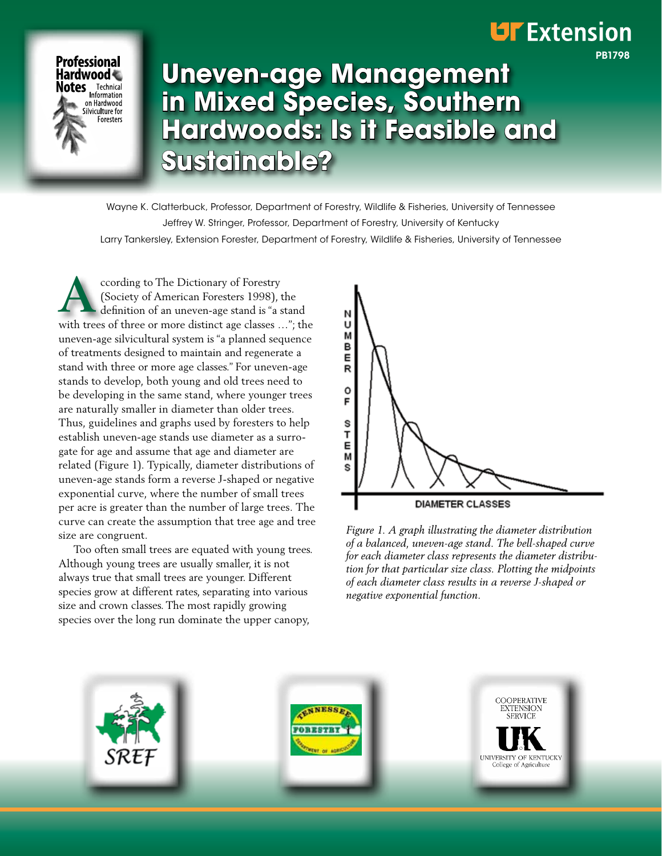## **UF** Extension

PB1798



# **Uneven-age Management in Mixed Species, Southern Hardwoods: Is it Feasible and Sustainable?**

Wayne K. Clatterbuck, Professor, Department of Forestry, Wildlife & Fisheries, University of Tennessee Jeffrey W. Stringer, Professor, Department of Forestry, University of Kentucky Larry Tankersley, Extension Forester, Department of Forestry, Wildlife & Fisheries, University of Tennessee

**A** ccording to The Dictionary of Forestry (Society of American Foresters 1998), the definition of an uneven-age stand is "a stand with trees of three or more distinct age classes …"; the uneven-age silvicultural system is "a planned sequence of treatments designed to maintain and regenerate a stand with three or more age classes." For uneven-age stands to develop, both young and old trees need to be developing in the same stand, where younger trees are naturally smaller in diameter than older trees. Thus, guidelines and graphs used by foresters to help establish uneven-age stands use diameter as a surrogate for age and assume that age and diameter are related (Figure 1). Typically, diameter distributions of uneven-age stands form a reverse J-shaped or negative exponential curve, where the number of small trees per acre is greater than the number of large trees. The curve can create the assumption that tree age and tree size are congruent.

Too often small trees are equated with young trees. Although young trees are usually smaller, it is not always true that small trees are younger. Different species grow at different rates, separating into various size and crown classes. The most rapidly growing species over the long run dominate the upper canopy,



*Figure 1. A graph illustrating the diameter distribution of a balanced, uneven-age stand. The bell-shaped curve for each diameter class represents the diameter distribution for that particular size class. Plotting the midpoints of each diameter class results in a reverse J-shaped or negative exponential function.*

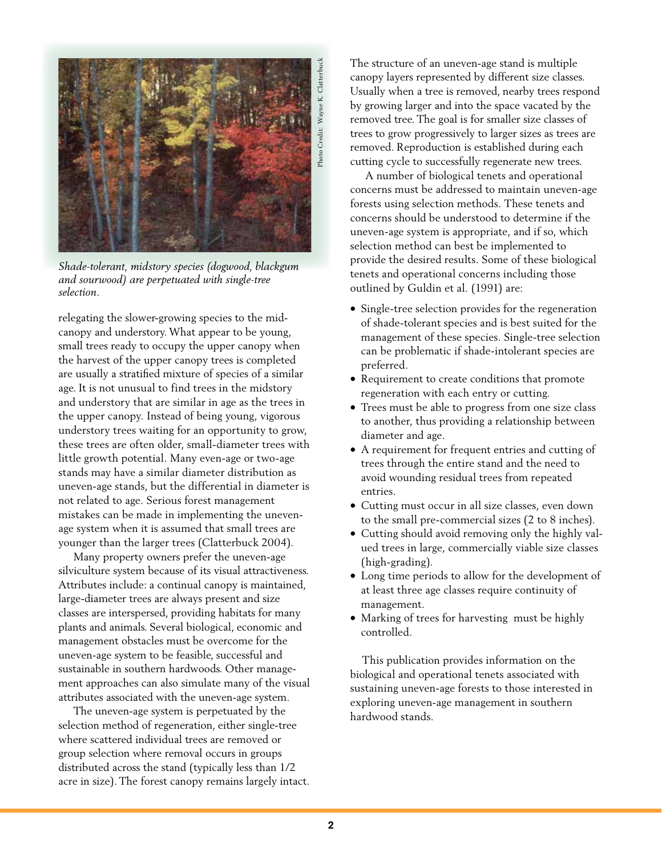

*Shade-tolerant, midstory species (dogwood, blackgum and sourwood) are perpetuated with single-tree selection.*

relegating the slower-growing species to the midcanopy and understory. What appear to be young, small trees ready to occupy the upper canopy when the harvest of the upper canopy trees is completed are usually a stratified mixture of species of a similar age. It is not unusual to find trees in the midstory and understory that are similar in age as the trees in the upper canopy. Instead of being young, vigorous understory trees waiting for an opportunity to grow, these trees are often older, small-diameter trees with little growth potential. Many even-age or two-age stands may have a similar diameter distribution as uneven-age stands, but the differential in diameter is not related to age. Serious forest management mistakes can be made in implementing the unevenage system when it is assumed that small trees are younger than the larger trees (Clatterbuck 2004).

Many property owners prefer the uneven-age silviculture system because of its visual attractiveness. Attributes include: a continual canopy is maintained, large-diameter trees are always present and size classes are interspersed, providing habitats for many plants and animals. Several biological, economic and management obstacles must be overcome for the uneven-age system to be feasible, successful and sustainable in southern hardwoods. Other management approaches can also simulate many of the visual attributes associated with the uneven-age system.

The uneven-age system is perpetuated by the selection method of regeneration, either single-tree where scattered individual trees are removed or group selection where removal occurs in groups distributed across the stand (typically less than 1/2 acre in size). The forest canopy remains largely intact. The structure of an uneven-age stand is multiple canopy layers represented by different size classes. Usually when a tree is removed, nearby trees respond by growing larger and into the space vacated by the removed tree. The goal is for smaller size classes of trees to grow progressively to larger sizes as trees are removed. Reproduction is established during each cutting cycle to successfully regenerate new trees.

A number of biological tenets and operational concerns must be addressed to maintain uneven-age forests using selection methods. These tenets and concerns should be understood to determine if the uneven-age system is appropriate, and if so, which selection method can best be implemented to provide the desired results. Some of these biological tenets and operational concerns including those outlined by Guldin et al. (1991) are:

- Single-tree selection provides for the regeneration of shade-tolerant species and is best suited for the management of these species. Single-tree selection can be problematic if shade-intolerant species are preferred.
- Requirement to create conditions that promote regeneration with each entry or cutting.
- Trees must be able to progress from one size class to another, thus providing a relationship between diameter and age.
- A requirement for frequent entries and cutting of trees through the entire stand and the need to avoid wounding residual trees from repeated entries.
- • Cutting must occur in all size classes, even down to the small pre-commercial sizes (2 to 8 inches).
- Cutting should avoid removing only the highly valued trees in large, commercially viable size classes (high-grading).
- Long time periods to allow for the development of at least three age classes require continuity of management.
- Marking of trees for harvesting must be highly controlled.

 This publication provides information on the biological and operational tenets associated with sustaining uneven-age forests to those interested in exploring uneven-age management in southern hardwood stands.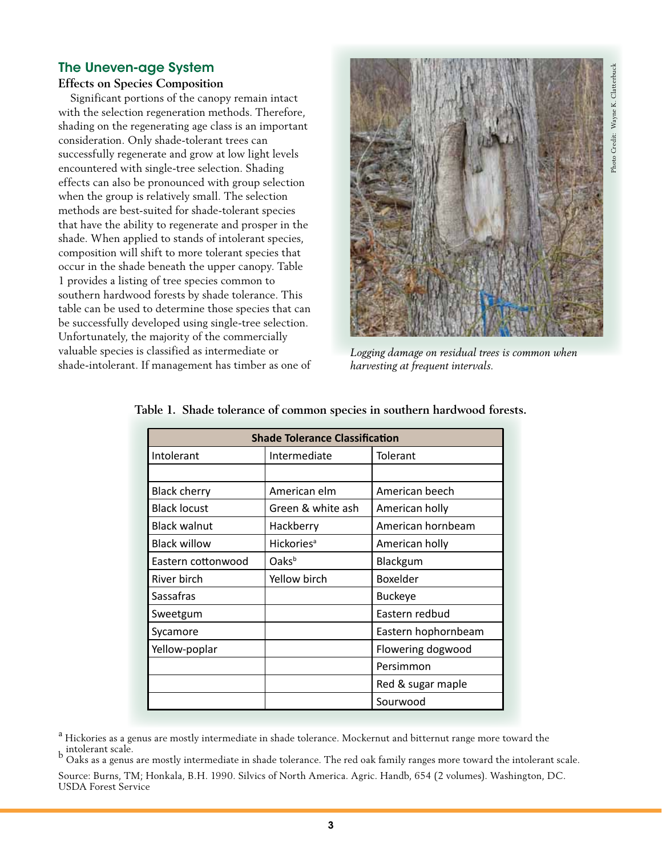## The Uneven-age System

#### **Effects on Species Composition**

 Significant portions of the canopy remain intact with the selection regeneration methods. Therefore, shading on the regenerating age class is an important consideration. Only shade-tolerant trees can successfully regenerate and grow at low light levels encountered with single-tree selection. Shading effects can also be pronounced with group selection when the group is relatively small. The selection methods are best-suited for shade-tolerant species that have the ability to regenerate and prosper in the shade. When applied to stands of intolerant species, composition will shift to more tolerant species that occur in the shade beneath the upper canopy. Table 1 provides a listing of tree species common to southern hardwood forests by shade tolerance. This table can be used to determine those species that can be successfully developed using single-tree selection. Unfortunately, the majority of the commercially valuable species is classified as intermediate or shade-intolerant. If management has timber as one of



*Logging damage on residual trees is common when harvesting at frequent intervals.*

| <b>Shade Tolerance Classification</b> |                              |                     |  |  |
|---------------------------------------|------------------------------|---------------------|--|--|
| Intolerant                            | Intermediate                 | Tolerant            |  |  |
|                                       |                              |                     |  |  |
| <b>Black cherry</b>                   | American elm                 | American beech      |  |  |
| <b>Black locust</b>                   | Green & white ash            | American holly      |  |  |
| <b>Black walnut</b>                   | Hackberry                    | American hornbeam   |  |  |
| <b>Black willow</b>                   | <b>Hickories<sup>a</sup></b> | American holly      |  |  |
| Eastern cottonwood                    | Oaks <sup>b</sup>            | Blackgum            |  |  |
| River birch                           | Yellow birch                 | Boxelder            |  |  |
| Sassafras                             |                              | <b>Buckeye</b>      |  |  |
| Sweetgum                              |                              | Eastern redbud      |  |  |
| Sycamore                              |                              | Eastern hophornbeam |  |  |
| Yellow-poplar                         |                              | Flowering dogwood   |  |  |
|                                       |                              | Persimmon           |  |  |
|                                       |                              | Red & sugar maple   |  |  |
|                                       |                              | Sourwood            |  |  |

|  |  | Table 1. Shade tolerance of common species in southern hardwood forests. |  |  |  |  |
|--|--|--------------------------------------------------------------------------|--|--|--|--|
|--|--|--------------------------------------------------------------------------|--|--|--|--|

<sup>&</sup>lt;sup>a</sup> Hickories as a genus are mostly intermediate in shade tolerance. Mockernut and bitternut range more toward the b intolerant scale.<br><sup>b</sup> Oaks as a genus are mostly intermediate in shade tolerance. The red oak family ranges more toward the intolerant scale.

Source: Burns, TM; Honkala, B.H. 1990. Silvics of North America. Agric. Handb, 654 (2 volumes). Washington, DC. USDA Forest Service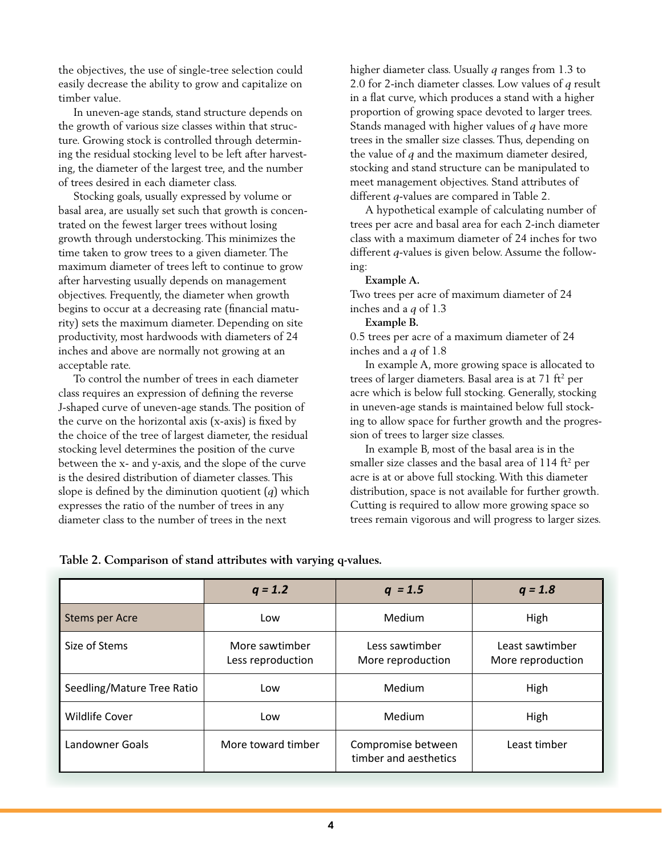the objectives, the use of single-tree selection could easily decrease the ability to grow and capitalize on timber value.

In uneven-age stands, stand structure depends on the growth of various size classes within that structure. Growing stock is controlled through determining the residual stocking level to be left after harvesting, the diameter of the largest tree, and the number of trees desired in each diameter class.

Stocking goals, usually expressed by volume or basal area, are usually set such that growth is concentrated on the fewest larger trees without losing growth through understocking. This minimizes the time taken to grow trees to a given diameter. The maximum diameter of trees left to continue to grow after harvesting usually depends on management objectives. Frequently, the diameter when growth begins to occur at a decreasing rate (financial maturity) sets the maximum diameter. Depending on site productivity, most hardwoods with diameters of 24 inches and above are normally not growing at an acceptable rate.

To control the number of trees in each diameter class requires an expression of defining the reverse J-shaped curve of uneven-age stands. The position of the curve on the horizontal axis (x-axis) is fixed by the choice of the tree of largest diameter, the residual stocking level determines the position of the curve between the x- and y-axis, and the slope of the curve is the desired distribution of diameter classes. This slope is defined by the diminution quotient (*q*) which expresses the ratio of the number of trees in any diameter class to the number of trees in the next

higher diameter class. Usually *q* ranges from 1.3 to 2.0 for 2-inch diameter classes. Low values of *q* result in a flat curve, which produces a stand with a higher proportion of growing space devoted to larger trees. Stands managed with higher values of *q* have more trees in the smaller size classes. Thus, depending on the value of *q* and the maximum diameter desired, stocking and stand structure can be manipulated to meet management objectives. Stand attributes of different *q*-values are compared in Table 2.

A hypothetical example of calculating number of trees per acre and basal area for each 2-inch diameter class with a maximum diameter of 24 inches for two different *q*-values is given below. Assume the following:

#### **Example A.**

Two trees per acre of maximum diameter of 24 inches and a *q* of 1.3

#### **Example B.**

0.5 trees per acre of a maximum diameter of 24 inches and a *q* of 1.8

In example A, more growing space is allocated to trees of larger diameters. Basal area is at 71 ft<sup>2</sup> per acre which is below full stocking. Generally, stocking in uneven-age stands is maintained below full stocking to allow space for further growth and the progression of trees to larger size classes.

In example B, most of the basal area is in the smaller size classes and the basal area of  $114$  ft<sup>2</sup> per acre is at or above full stocking. With this diameter distribution, space is not available for further growth. Cutting is required to allow more growing space so trees remain vigorous and will progress to larger sizes.

|                            | $q = 1.2$                           | $q = 1.5$                                   | $q = 1.8$                            |
|----------------------------|-------------------------------------|---------------------------------------------|--------------------------------------|
| <b>Stems per Acre</b>      | Low                                 | Medium                                      | High                                 |
| Size of Stems              | More sawtimber<br>Less reproduction | Less sawtimber<br>More reproduction         | Least sawtimber<br>More reproduction |
| Seedling/Mature Tree Ratio | Low                                 | Medium                                      | High                                 |
| <b>Wildlife Cover</b>      | Low                                 | Medium                                      | High                                 |
| <b>Landowner Goals</b>     | More toward timber                  | Compromise between<br>timber and aesthetics | Least timber                         |

#### **Table 2. Comparison of stand attributes with varying q-values.**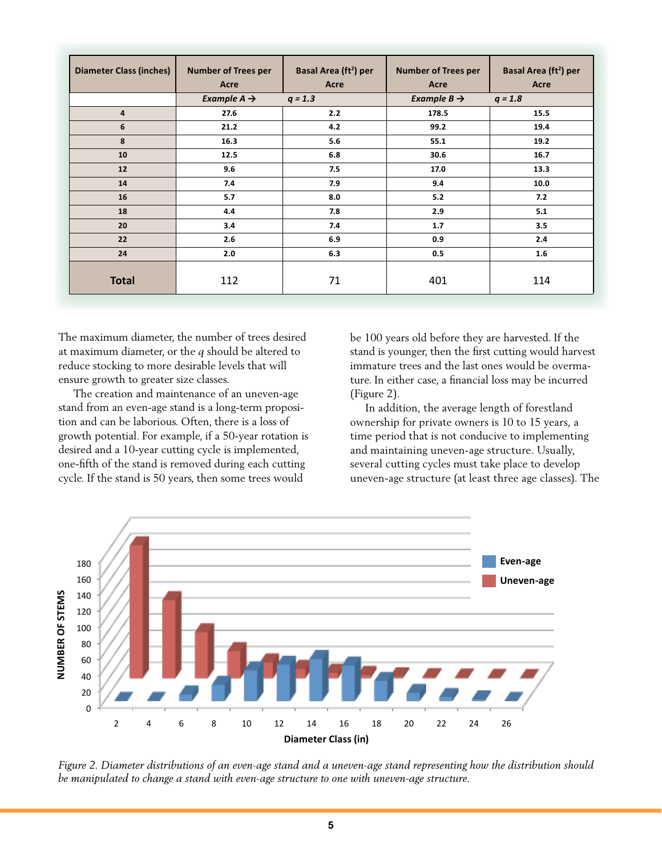| <b>Diameter Class (inches)</b> | <b>Number of Trees per</b><br>Acre | Basal Area (ft <sup>2</sup> ) per<br>Acre | <b>Number of Trees per</b><br>Acre | Basal Area (ft <sup>2</sup> ) per<br>Acre |
|--------------------------------|------------------------------------|-------------------------------------------|------------------------------------|-------------------------------------------|
|                                | Example $A \rightarrow$            | $q = 1.3$                                 | Example $B \rightarrow$            | $q = 1.8$                                 |
| $\overline{4}$                 | 27.6                               | 2.2                                       | 178.5                              | 15.5                                      |
| 6                              | 21.2                               | 4.2                                       | 99.2                               | 19.4                                      |
| 8                              | 16.3                               | 5.6                                       | 55.1                               | 19.2                                      |
| 10                             | 12.5                               | 6.8                                       | 30.6                               | 16.7                                      |
| 12                             | 9.6                                | 7.5                                       | 17.0                               | 13.3                                      |
| 14                             | 7.4                                | 7.9                                       | 9.4                                | 10.0                                      |
| 16                             | 5.7                                | 8.0                                       | 5.2                                | 7.2                                       |
| 18                             | 4.4                                | 7.8                                       | 2.9                                | 5.1                                       |
| 20                             | 3.4                                | 7.4                                       | 1.7                                | 3.5                                       |
| 22                             | 2.6                                | 6.9                                       | 0.9                                | 2.4                                       |
| 24                             | 2.0                                | 6.3                                       | 0.5                                | 1.6                                       |
| <b>Total</b>                   | 112                                | 71                                        | 401                                | 114                                       |

The maximum diameter, the number of trees desired at maximum diameter, or the *q* should be altered to reduce stocking to more desirable levels that will ensure growth to greater size classes.

The creation and maintenance of an uneven-age stand from an even-age stand is a long-term proposition and can be laborious. Often, there is a loss of growth potential. For example, if a 50-year rotation is desired and a 10-year cutting cycle is implemented, one-fifth of the stand is removed during each cutting cycle. If the stand is 50 years, then some trees would

be 100 years old before they are harvested. If the stand is younger, then the first cutting would harvest immature trees and the last ones would be overmature. In either case, a financial loss may be incurred (Figure 2).

In addition, the average length of forestland ownership for private owners is 10 to 15 years, a time period that is not conducive to implementing and maintaining uneven-age structure. Usually, several cutting cycles must take place to develop uneven-age structure (at least three age classes). The



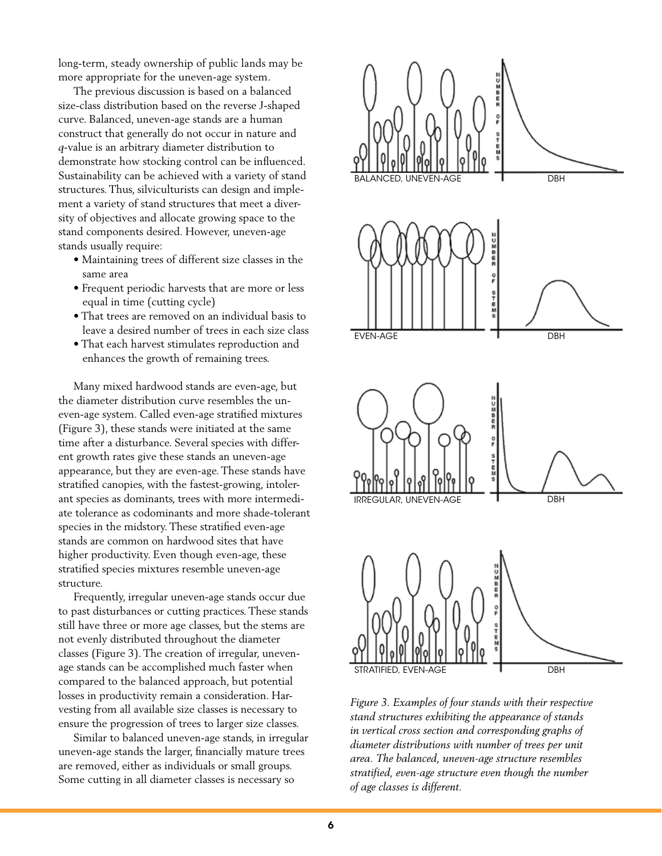long-term, steady ownership of public lands may be more appropriate for the uneven-age system.

The previous discussion is based on a balanced size-class distribution based on the reverse J-shaped curve. Balanced, uneven-age stands are a human construct that generally do not occur in nature and *q*-value is an arbitrary diameter distribution to demonstrate how stocking control can be influenced. Sustainability can be achieved with a variety of stand structures. Thus, silviculturists can design and implement a variety of stand structures that meet a diversity of objectives and allocate growing space to the stand components desired. However, uneven-age stands usually require:

- Maintaining trees of different size classes in the same area
- Frequent periodic harvests that are more or less equal in time (cutting cycle)
- That trees are removed on an individual basis to leave a desired number of trees in each size class
- That each harvest stimulates reproduction and enhances the growth of remaining trees.

Many mixed hardwood stands are even-age, but the diameter distribution curve resembles the uneven-age system. Called even-age stratified mixtures (Figure 3), these stands were initiated at the same time after a disturbance. Several species with different growth rates give these stands an uneven-age appearance, but they are even-age. These stands have stratified canopies, with the fastest-growing, intolerant species as dominants, trees with more intermediate tolerance as codominants and more shade-tolerant species in the midstory. These stratified even-age stands are common on hardwood sites that have higher productivity. Even though even-age, these stratified species mixtures resemble uneven-age structure.

Frequently, irregular uneven-age stands occur due to past disturbances or cutting practices. These stands still have three or more age classes, but the stems are not evenly distributed throughout the diameter classes (Figure 3). The creation of irregular, unevenage stands can be accomplished much faster when compared to the balanced approach, but potential losses in productivity remain a consideration. Harvesting from all available size classes is necessary to ensure the progression of trees to larger size classes.

Similar to balanced uneven-age stands, in irregular uneven-age stands the larger, financially mature trees are removed, either as individuals or small groups. Some cutting in all diameter classes is necessary so



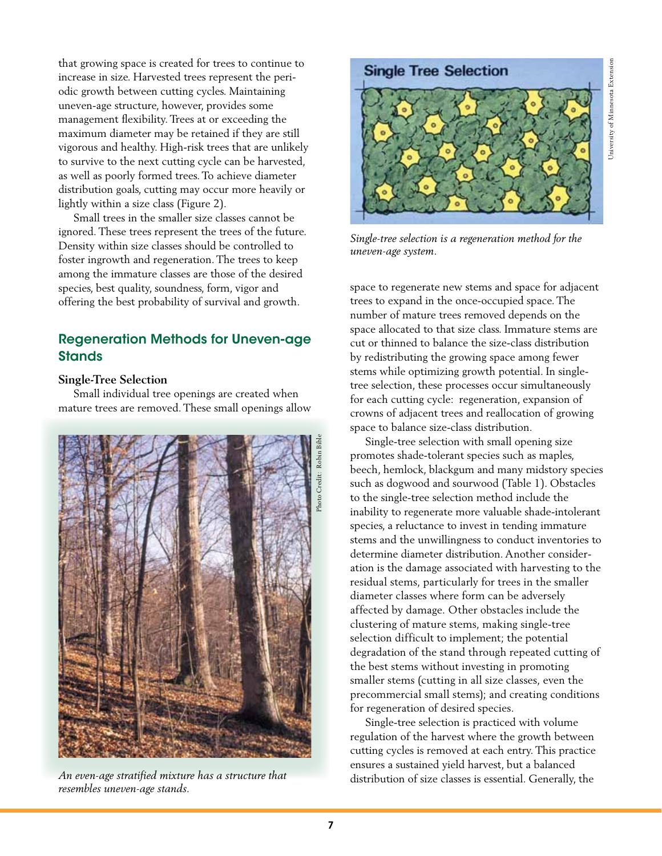that growing space is created for trees to continue to increase in size. Harvested trees represent the periodic growth between cutting cycles. Maintaining uneven-age structure, however, provides some management flexibility. Trees at or exceeding the maximum diameter may be retained if they are still vigorous and healthy. High-risk trees that are unlikely to survive to the next cutting cycle can be harvested, as well as poorly formed trees. To achieve diameter distribution goals, cutting may occur more heavily or lightly within a size class (Figure 2).

Small trees in the smaller size classes cannot be ignored. These trees represent the trees of the future. Density within size classes should be controlled to foster ingrowth and regeneration. The trees to keep among the immature classes are those of the desired species, best quality, soundness, form, vigor and offering the best probability of survival and growth.

## Regeneration Methods for Uneven-age **Stands**

#### **Single-Tree Selection**

Small individual tree openings are created when mature trees are removed. These small openings allow



*An even-age stratified mixture has a structure that resembles uneven-age stands.*



*Single-tree selection is a regeneration method for the uneven-age system.*

space to regenerate new stems and space for adjacent trees to expand in the once-occupied space. The number of mature trees removed depends on the space allocated to that size class. Immature stems are cut or thinned to balance the size-class distribution by redistributing the growing space among fewer stems while optimizing growth potential. In singletree selection, these processes occur simultaneously for each cutting cycle: regeneration, expansion of crowns of adjacent trees and reallocation of growing space to balance size-class distribution.

Single-tree selection with small opening size promotes shade-tolerant species such as maples, beech, hemlock, blackgum and many midstory species such as dogwood and sourwood (Table 1). Obstacles to the single-tree selection method include the inability to regenerate more valuable shade-intolerant species, a reluctance to invest in tending immature stems and the unwillingness to conduct inventories to determine diameter distribution. Another consideration is the damage associated with harvesting to the residual stems, particularly for trees in the smaller diameter classes where form can be adversely affected by damage. Other obstacles include the clustering of mature stems, making single-tree selection difficult to implement; the potential degradation of the stand through repeated cutting of the best stems without investing in promoting smaller stems (cutting in all size classes, even the precommercial small stems); and creating conditions for regeneration of desired species.

Single-tree selection is practiced with volume regulation of the harvest where the growth between cutting cycles is removed at each entry. This practice ensures a sustained yield harvest, but a balanced distribution of size classes is essential. Generally, the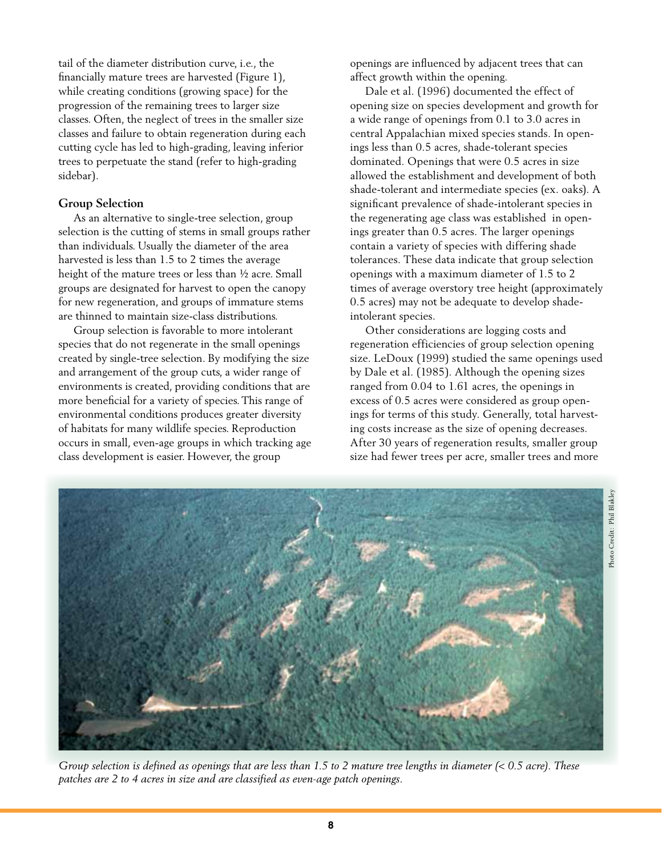tail of the diameter distribution curve, i.e., the financially mature trees are harvested (Figure 1), while creating conditions (growing space) for the progression of the remaining trees to larger size classes. Often, the neglect of trees in the smaller size classes and failure to obtain regeneration during each cutting cycle has led to high-grading, leaving inferior trees to perpetuate the stand (refer to high-grading sidebar).

#### **Group Selection**

As an alternative to single-tree selection, group selection is the cutting of stems in small groups rather than individuals. Usually the diameter of the area harvested is less than 1.5 to 2 times the average height of the mature trees or less than ½ acre. Small groups are designated for harvest to open the canopy for new regeneration, and groups of immature stems are thinned to maintain size-class distributions.

Group selection is favorable to more intolerant species that do not regenerate in the small openings created by single-tree selection. By modifying the size and arrangement of the group cuts, a wider range of environments is created, providing conditions that are more beneficial for a variety of species. This range of environmental conditions produces greater diversity of habitats for many wildlife species. Reproduction occurs in small, even-age groups in which tracking age class development is easier. However, the group

openings are influenced by adjacent trees that can affect growth within the opening.

Dale et al. (1996) documented the effect of opening size on species development and growth for a wide range of openings from 0.1 to 3.0 acres in central Appalachian mixed species stands. In openings less than 0.5 acres, shade-tolerant species dominated. Openings that were 0.5 acres in size allowed the establishment and development of both shade-tolerant and intermediate species (ex. oaks). A significant prevalence of shade-intolerant species in the regenerating age class was established in openings greater than 0.5 acres. The larger openings contain a variety of species with differing shade tolerances. These data indicate that group selection openings with a maximum diameter of 1.5 to 2 times of average overstory tree height (approximately 0.5 acres) may not be adequate to develop shadeintolerant species.

Other considerations are logging costs and regeneration efficiencies of group selection opening size. LeDoux (1999) studied the same openings used by Dale et al. (1985). Although the opening sizes ranged from 0.04 to 1.61 acres, the openings in excess of 0.5 acres were considered as group openings for terms of this study. Generally, total harvesting costs increase as the size of opening decreases. After 30 years of regeneration results, smaller group size had fewer trees per acre, smaller trees and more



*Group selection is defined as openings that are less than 1.5 to 2 mature tree lengths in diameter (< 0.5 acre). These patches are 2 to 4 acres in size and are classified as even-age patch openings.*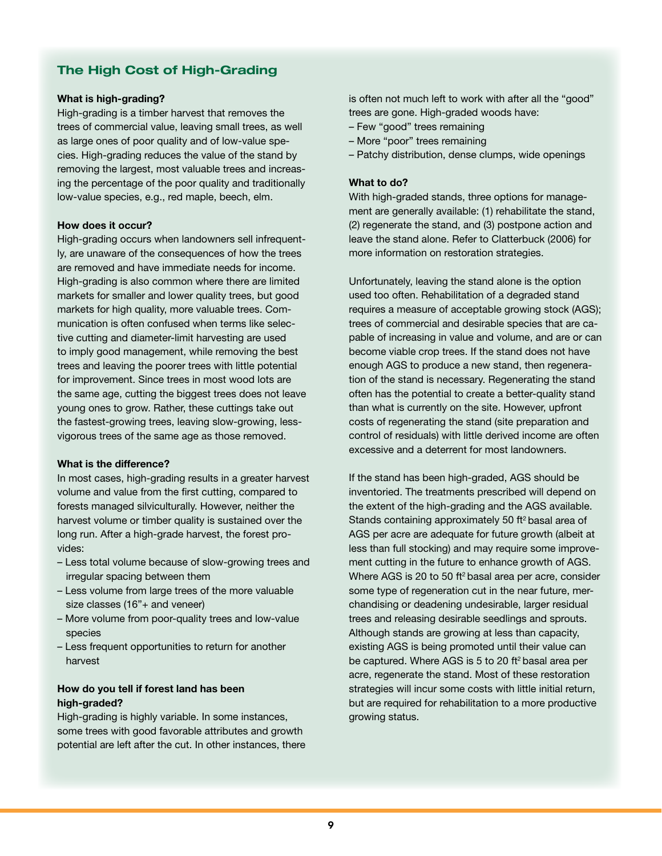## The High Cost of High-Grading

#### What is high-grading?

High-grading is a timber harvest that removes the trees of commercial value, leaving small trees, as well as large ones of poor quality and of low-value species. High-grading reduces the value of the stand by removing the largest, most valuable trees and increasing the percentage of the poor quality and traditionally low-value species, e.g., red maple, beech, elm.

#### How does it occur?

High-grading occurs when landowners sell infrequently, are unaware of the consequences of how the trees are removed and have immediate needs for income. High-grading is also common where there are limited markets for smaller and lower quality trees, but good markets for high quality, more valuable trees. Communication is often confused when terms like selective cutting and diameter-limit harvesting are used to imply good management, while removing the best trees and leaving the poorer trees with little potential for improvement. Since trees in most wood lots are the same age, cutting the biggest trees does not leave young ones to grow. Rather, these cuttings take out the fastest-growing trees, leaving slow-growing, lessvigorous trees of the same age as those removed.

#### What is the difference?

In most cases, high-grading results in a greater harvest volume and value from the first cutting, compared to forests managed silviculturally. However, neither the harvest volume or timber quality is sustained over the long run. After a high-grade harvest, the forest provides:

- Less total volume because of slow-growing trees and irregular spacing between them
- Less volume from large trees of the more valuable size classes (16"+ and veneer)
- More volume from poor-quality trees and low-value species
- Less frequent opportunities to return for another harvest

#### How do you tell if forest land has been high-graded?

High-grading is highly variable. In some instances, some trees with good favorable attributes and growth potential are left after the cut. In other instances, there is often not much left to work with after all the "good" trees are gone. High-graded woods have:

- Few "good" trees remaining
- More "poor" trees remaining
- Patchy distribution, dense clumps, wide openings

#### What to do?

With high-graded stands, three options for management are generally available: (1) rehabilitate the stand, (2) regenerate the stand, and (3) postpone action and leave the stand alone. Refer to Clatterbuck (2006) for more information on restoration strategies.

Unfortunately, leaving the stand alone is the option used too often. Rehabilitation of a degraded stand requires a measure of acceptable growing stock (AGS); trees of commercial and desirable species that are capable of increasing in value and volume, and are or can become viable crop trees. If the stand does not have enough AGS to produce a new stand, then regeneration of the stand is necessary. Regenerating the stand often has the potential to create a better-quality stand than what is currently on the site. However, upfront costs of regenerating the stand (site preparation and control of residuals) with little derived income are often excessive and a deterrent for most landowners.

If the stand has been high-graded, AGS should be inventoried. The treatments prescribed will depend on the extent of the high-grading and the AGS available. Stands containing approximately 50 ft<sup>2</sup> basal area of AGS per acre are adequate for future growth (albeit at less than full stocking) and may require some improvement cutting in the future to enhance growth of AGS. Where AGS is 20 to 50 ft<sup>2</sup> basal area per acre, consider some type of regeneration cut in the near future, merchandising or deadening undesirable, larger residual trees and releasing desirable seedlings and sprouts. Although stands are growing at less than capacity, existing AGS is being promoted until their value can be captured. Where AGS is 5 to 20 ft<sup>2</sup> basal area per acre, regenerate the stand. Most of these restoration strategies will incur some costs with little initial return, but are required for rehabilitation to a more productive growing status.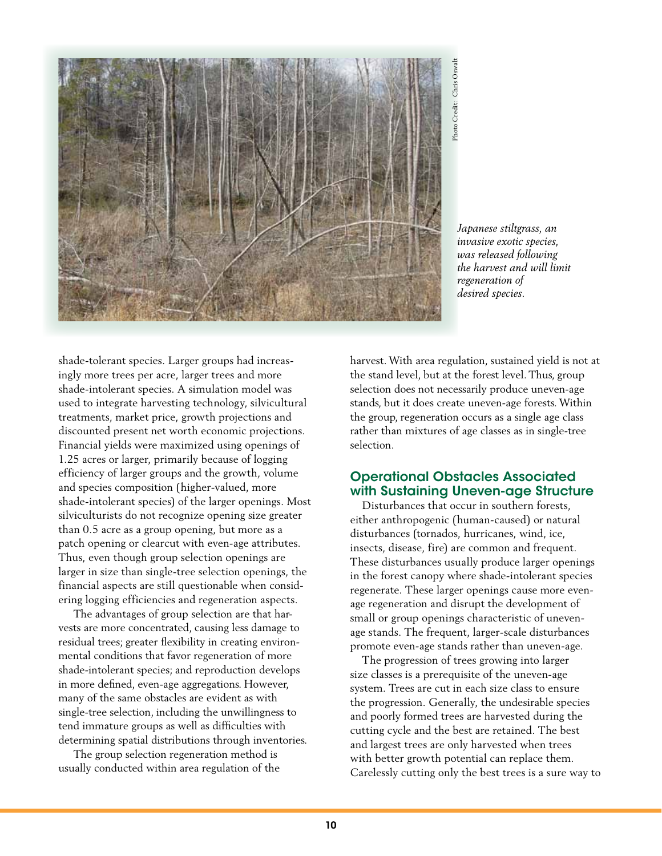

*Japanese stiltgrass, an invasive exotic species, was released following the harvest and will limit regeneration of designals*<br> *designals*<br> *definition*<br> *depanese stiltgrands released for the harvest and regeneration of desired species.* 

shade-tolerant species. Larger groups had increasingly more trees per acre, larger trees and more shade-intolerant species. A simulation model was used to integrate harvesting technology, silvicultural treatments, market price, growth projections and discounted present net worth economic projections. Financial yields were maximized using openings of 1.25 acres or larger, primarily because of logging efficiency of larger groups and the growth, volume and species composition (higher-valued, more shade-intolerant species) of the larger openings. Most silviculturists do not recognize opening size greater than 0.5 acre as a group opening, but more as a patch opening or clearcut with even-age attributes. Thus, even though group selection openings are larger in size than single-tree selection openings, the financial aspects are still questionable when considering logging efficiencies and regeneration aspects.

The advantages of group selection are that harvests are more concentrated, causing less damage to residual trees; greater flexibility in creating environmental conditions that favor regeneration of more shade-intolerant species; and reproduction develops in more defined, even-age aggregations. However, many of the same obstacles are evident as with single-tree selection, including the unwillingness to tend immature groups as well as difficulties with determining spatial distributions through inventories.

The group selection regeneration method is usually conducted within area regulation of the harvest. With area regulation, sustained yield is not at the stand level, but at the forest level. Thus, group selection does not necessarily produce uneven-age stands, but it does create uneven-age forests. Within the group, regeneration occurs as a single age class rather than mixtures of age classes as in single-tree selection.

### Operational Obstacles Associated with Sustaining Uneven-age Structure

 Disturbances that occur in southern forests, either anthropogenic (human-caused) or natural disturbances (tornados, hurricanes, wind, ice, insects, disease, fire) are common and frequent. These disturbances usually produce larger openings in the forest canopy where shade-intolerant species regenerate. These larger openings cause more evenage regeneration and disrupt the development of small or group openings characteristic of unevenage stands. The frequent, larger-scale disturbances promote even-age stands rather than uneven-age.

 The progression of trees growing into larger size classes is a prerequisite of the uneven-age system. Trees are cut in each size class to ensure the progression. Generally, the undesirable species and poorly formed trees are harvested during the cutting cycle and the best are retained. The best and largest trees are only harvested when trees with better growth potential can replace them. Carelessly cutting only the best trees is a sure way to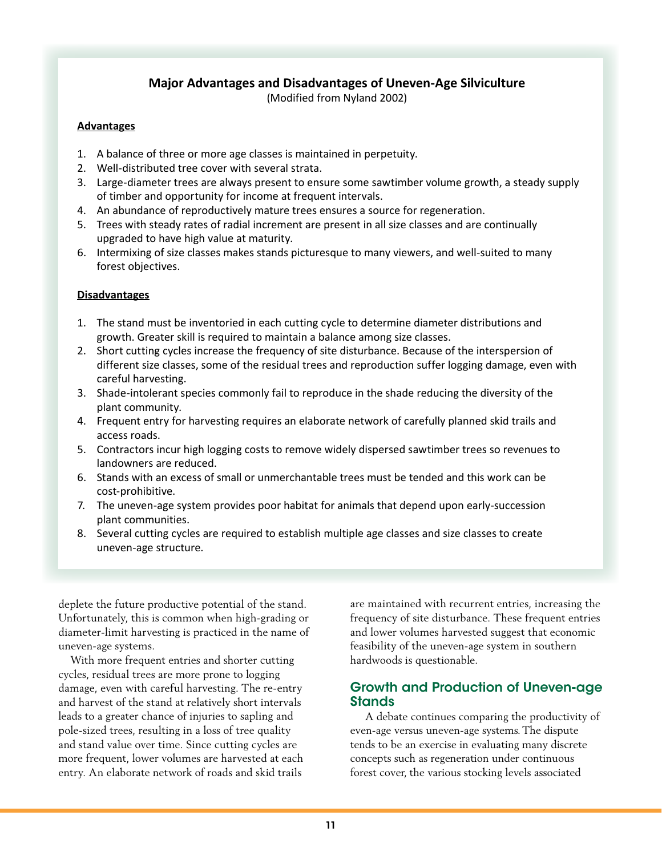## **Major Advantages and Disadvantages of Uneven-Age Silviculture**

(Modified from Nyland 2002)

#### **Advantages**

- 1. A balance of three or more age classes is maintained in perpetuity.
- 2. Well-distributed tree cover with several strata.
- 3. Large-diameter trees are always present to ensure some sawtimber volume growth, a steady supply of timber and opportunity for income at frequent intervals.
- 4. An abundance of reproductively mature trees ensures a source for regeneration.
- 5. Trees with steady rates of radial increment are present in all size classes and are continually upgraded to have high value at maturity.
- 6. Intermixing of size classes makes stands picturesque to many viewers, and well-suited to many forest objectives.

#### **Disadvantages**

- 1. The stand must be inventoried in each cutting cycle to determine diameter distributions and growth. Greater skill is required to maintain a balance among size classes.
- 2. Short cutting cycles increase the frequency of site disturbance. Because of the interspersion of different size classes, some of the residual trees and reproduction suffer logging damage, even with careful harvesting.
- 3. Shade-intolerant species commonly fail to reproduce in the shade reducing the diversity of the plant community.
- 4. Frequent entry for harvesting requires an elaborate network of carefully planned skid trails and access roads.
- 5. Contractors incur high logging costs to remove widely dispersed sawtimber trees so revenues to landowners are reduced.
- 6. Stands with an excess of small or unmerchantable trees must be tended and this work can be cost-prohibitive.
- 7. The uneven-age system provides poor habitat for animals that depend upon early-succession plant communities.
- 8. Several cutting cycles are required to establish multiple age classes and size classes to create uneven-age structure.

deplete the future productive potential of the stand. Unfortunately, this is common when high-grading or diameter-limit harvesting is practiced in the name of uneven-age systems.

 With more frequent entries and shorter cutting cycles, residual trees are more prone to logging damage, even with careful harvesting. The re-entry and harvest of the stand at relatively short intervals leads to a greater chance of injuries to sapling and pole-sized trees, resulting in a loss of tree quality and stand value over time. Since cutting cycles are more frequent, lower volumes are harvested at each entry. An elaborate network of roads and skid trails

are maintained with recurrent entries, increasing the frequency of site disturbance. These frequent entries and lower volumes harvested suggest that economic feasibility of the uneven-age system in southern hardwoods is questionable.

## Growth and Production of Uneven-age **Stands**

A debate continues comparing the productivity of even-age versus uneven-age systems. The dispute tends to be an exercise in evaluating many discrete concepts such as regeneration under continuous forest cover, the various stocking levels associated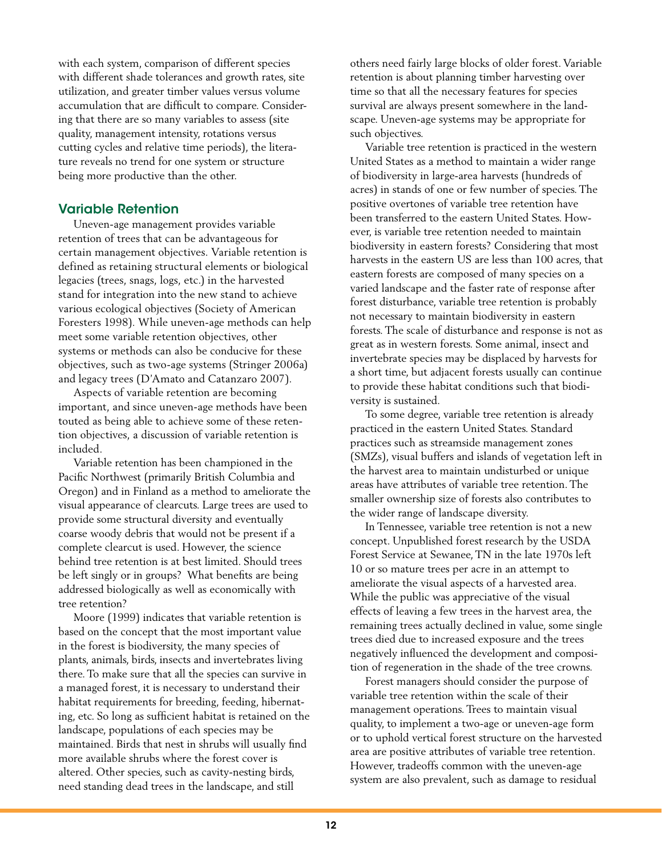with each system, comparison of different species with different shade tolerances and growth rates, site utilization, and greater timber values versus volume accumulation that are difficult to compare. Considering that there are so many variables to assess (site quality, management intensity, rotations versus cutting cycles and relative time periods), the literature reveals no trend for one system or structure being more productive than the other.

## Variable Retention

Uneven-age management provides variable retention of trees that can be advantageous for certain management objectives. Variable retention is defined as retaining structural elements or biological legacies (trees, snags, logs, etc.) in the harvested stand for integration into the new stand to achieve various ecological objectives (Society of American Foresters 1998). While uneven-age methods can help meet some variable retention objectives, other systems or methods can also be conducive for these objectives, such as two-age systems (Stringer 2006a) and legacy trees (D'Amato and Catanzaro 2007).

Aspects of variable retention are becoming important, and since uneven-age methods have been touted as being able to achieve some of these retention objectives, a discussion of variable retention is included.

Variable retention has been championed in the Pacific Northwest (primarily British Columbia and Oregon) and in Finland as a method to ameliorate the visual appearance of clearcuts. Large trees are used to provide some structural diversity and eventually coarse woody debris that would not be present if a complete clearcut is used. However, the science behind tree retention is at best limited. Should trees be left singly or in groups? What benefits are being addressed biologically as well as economically with tree retention?

Moore (1999) indicates that variable retention is based on the concept that the most important value in the forest is biodiversity, the many species of plants, animals, birds, insects and invertebrates living there. To make sure that all the species can survive in a managed forest, it is necessary to understand their habitat requirements for breeding, feeding, hibernating, etc. So long as sufficient habitat is retained on the landscape, populations of each species may be maintained. Birds that nest in shrubs will usually find more available shrubs where the forest cover is altered. Other species, such as cavity-nesting birds, need standing dead trees in the landscape, and still

others need fairly large blocks of older forest. Variable retention is about planning timber harvesting over time so that all the necessary features for species survival are always present somewhere in the landscape. Uneven-age systems may be appropriate for such objectives.

Variable tree retention is practiced in the western United States as a method to maintain a wider range of biodiversity in large-area harvests (hundreds of acres) in stands of one or few number of species. The positive overtones of variable tree retention have been transferred to the eastern United States. However, is variable tree retention needed to maintain biodiversity in eastern forests? Considering that most harvests in the eastern US are less than 100 acres, that eastern forests are composed of many species on a varied landscape and the faster rate of response after forest disturbance, variable tree retention is probably not necessary to maintain biodiversity in eastern forests. The scale of disturbance and response is not as great as in western forests. Some animal, insect and invertebrate species may be displaced by harvests for a short time, but adjacent forests usually can continue to provide these habitat conditions such that biodiversity is sustained.

To some degree, variable tree retention is already practiced in the eastern United States. Standard practices such as streamside management zones (SMZs), visual buffers and islands of vegetation left in the harvest area to maintain undisturbed or unique areas have attributes of variable tree retention. The smaller ownership size of forests also contributes to the wider range of landscape diversity.

In Tennessee, variable tree retention is not a new concept. Unpublished forest research by the USDA Forest Service at Sewanee, TN in the late 1970s left 10 or so mature trees per acre in an attempt to ameliorate the visual aspects of a harvested area. While the public was appreciative of the visual effects of leaving a few trees in the harvest area, the remaining trees actually declined in value, some single trees died due to increased exposure and the trees negatively influenced the development and composition of regeneration in the shade of the tree crowns.

Forest managers should consider the purpose of variable tree retention within the scale of their management operations. Trees to maintain visual quality, to implement a two-age or uneven-age form or to uphold vertical forest structure on the harvested area are positive attributes of variable tree retention. However, tradeoffs common with the uneven-age system are also prevalent, such as damage to residual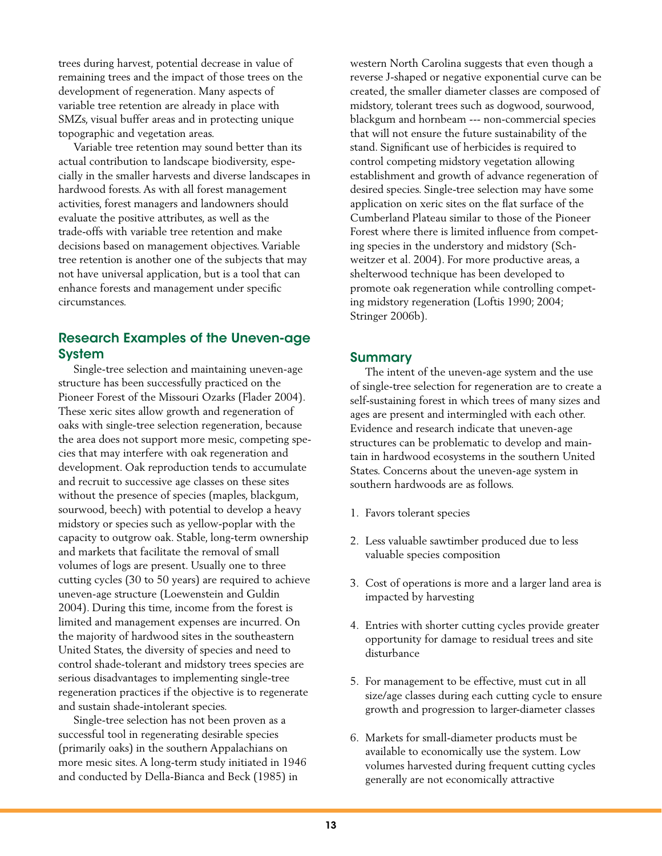trees during harvest, potential decrease in value of remaining trees and the impact of those trees on the development of regeneration. Many aspects of variable tree retention are already in place with SMZs, visual buffer areas and in protecting unique topographic and vegetation areas.

Variable tree retention may sound better than its actual contribution to landscape biodiversity, especially in the smaller harvests and diverse landscapes in hardwood forests. As with all forest management activities, forest managers and landowners should evaluate the positive attributes, as well as the trade-offs with variable tree retention and make decisions based on management objectives. Variable tree retention is another one of the subjects that may not have universal application, but is a tool that can enhance forests and management under specific circumstances.

## Research Examples of the Uneven-age System

Single-tree selection and maintaining uneven-age structure has been successfully practiced on the Pioneer Forest of the Missouri Ozarks (Flader 2004). These xeric sites allow growth and regeneration of oaks with single-tree selection regeneration, because the area does not support more mesic, competing species that may interfere with oak regeneration and development. Oak reproduction tends to accumulate and recruit to successive age classes on these sites without the presence of species (maples, blackgum, sourwood, beech) with potential to develop a heavy midstory or species such as yellow-poplar with the capacity to outgrow oak. Stable, long-term ownership and markets that facilitate the removal of small volumes of logs are present. Usually one to three cutting cycles (30 to 50 years) are required to achieve uneven-age structure (Loewenstein and Guldin 2004). During this time, income from the forest is limited and management expenses are incurred. On the majority of hardwood sites in the southeastern United States, the diversity of species and need to control shade-tolerant and midstory trees species are serious disadvantages to implementing single-tree regeneration practices if the objective is to regenerate and sustain shade-intolerant species.

Single-tree selection has not been proven as a successful tool in regenerating desirable species (primarily oaks) in the southern Appalachians on more mesic sites. A long-term study initiated in 1946 and conducted by Della-Bianca and Beck (1985) in

western North Carolina suggests that even though a reverse J-shaped or negative exponential curve can be created, the smaller diameter classes are composed of midstory, tolerant trees such as dogwood, sourwood, blackgum and hornbeam --- non-commercial species that will not ensure the future sustainability of the stand. Significant use of herbicides is required to control competing midstory vegetation allowing establishment and growth of advance regeneration of desired species. Single-tree selection may have some application on xeric sites on the flat surface of the Cumberland Plateau similar to those of the Pioneer Forest where there is limited influence from competing species in the understory and midstory (Schweitzer et al. 2004). For more productive areas, a shelterwood technique has been developed to promote oak regeneration while controlling competing midstory regeneration (Loftis 1990; 2004; Stringer 2006b).

## Summary

The intent of the uneven-age system and the use of single-tree selection for regeneration are to create a self-sustaining forest in which trees of many sizes and ages are present and intermingled with each other. Evidence and research indicate that uneven-age structures can be problematic to develop and maintain in hardwood ecosystems in the southern United States. Concerns about the uneven-age system in southern hardwoods are as follows.

- 1. Favors tolerant species
- 2. Less valuable sawtimber produced due to less valuable species composition
- 3. Cost of operations is more and a larger land area is impacted by harvesting
- 4. Entries with shorter cutting cycles provide greater opportunity for damage to residual trees and site disturbance
- 5. For management to be effective, must cut in all size/age classes during each cutting cycle to ensure growth and progression to larger-diameter classes
- 6. Markets for small-diameter products must be available to economically use the system. Low volumes harvested during frequent cutting cycles generally are not economically attractive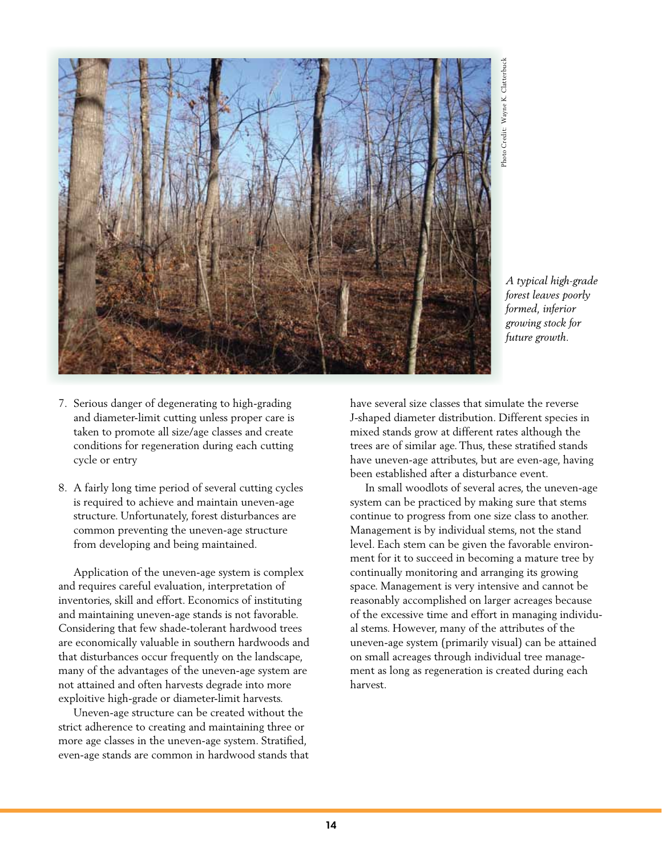

*A typical high-grade forest leaves poorly formed, inferior growing stock for future growth.*<br> *functional series*<br> *formed, inferid growing stock future growth.* 

- 7. Serious danger of degenerating to high-grading and diameter-limit cutting unless proper care is taken to promote all size/age classes and create conditions for regeneration during each cutting cycle or entry
- 8. A fairly long time period of several cutting cycles is required to achieve and maintain uneven-age structure. Unfortunately, forest disturbances are common preventing the uneven-age structure from developing and being maintained.

Application of the uneven-age system is complex and requires careful evaluation, interpretation of inventories, skill and effort. Economics of instituting and maintaining uneven-age stands is not favorable. Considering that few shade-tolerant hardwood trees are economically valuable in southern hardwoods and that disturbances occur frequently on the landscape, many of the advantages of the uneven-age system are not attained and often harvests degrade into more exploitive high-grade or diameter-limit harvests.

Uneven-age structure can be created without the strict adherence to creating and maintaining three or more age classes in the uneven-age system. Stratified, even-age stands are common in hardwood stands that

have several size classes that simulate the reverse J-shaped diameter distribution. Different species in mixed stands grow at different rates although the trees are of similar age. Thus, these stratified stands have uneven-age attributes, but are even-age, having been established after a disturbance event.

In small woodlots of several acres, the uneven-age system can be practiced by making sure that stems continue to progress from one size class to another. Management is by individual stems, not the stand level. Each stem can be given the favorable environment for it to succeed in becoming a mature tree by continually monitoring and arranging its growing space. Management is very intensive and cannot be reasonably accomplished on larger acreages because of the excessive time and effort in managing individual stems. However, many of the attributes of the uneven-age system (primarily visual) can be attained on small acreages through individual tree management as long as regeneration is created during each harvest.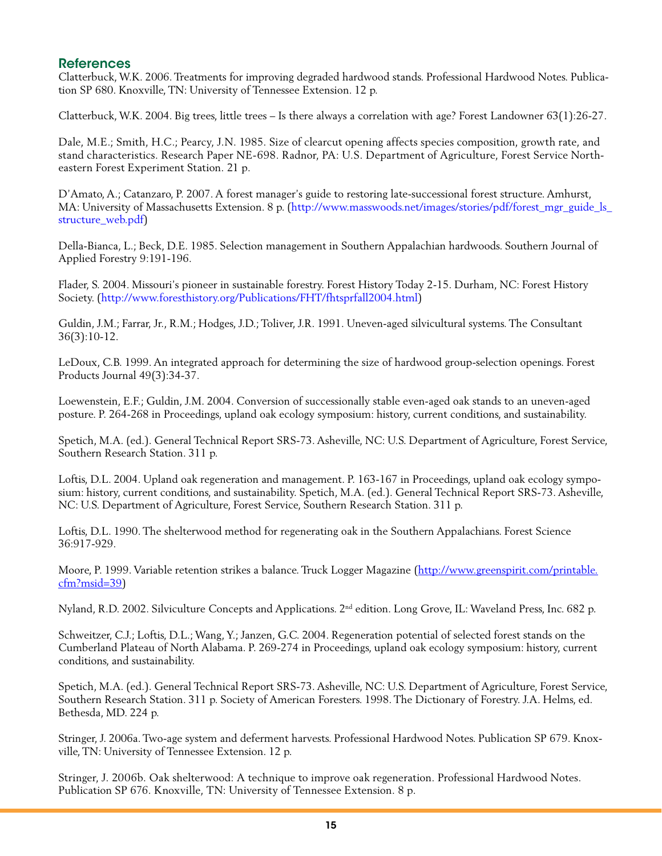## **References**

Clatterbuck, W.K. 2006. Treatments for improving degraded hardwood stands. Professional Hardwood Notes. Publication SP 680. Knoxville, TN: University of Tennessee Extension. 12 p.

Clatterbuck, W.K. 2004. Big trees, little trees – Is there always a correlation with age? Forest Landowner 63(1):26-27.

Dale, M.E.; Smith, H.C.; Pearcy, J.N. 1985. Size of clearcut opening affects species composition, growth rate, and stand characteristics. Research Paper NE-698. Radnor, PA: U.S. Department of Agriculture, Forest Service Northeastern Forest Experiment Station. 21 p.

D'Amato, A.; Catanzaro, P. 2007. A forest manager's guide to restoring late-successional forest structure. Amhurst, MA: University of Massachusetts Extension. 8 p. (http://www.masswoods.net/images/stories/pdf/forest\_mgr\_guide\_ls\_ structure\_web.pdf)

Della-Bianca, L.; Beck, D.E. 1985. Selection management in Southern Appalachian hardwoods. Southern Journal of Applied Forestry 9:191-196.

Flader, S. 2004. Missouri's pioneer in sustainable forestry. Forest History Today 2-15. Durham, NC: Forest History Society. (http://www.foresthistory.org/Publications/FHT/fhtsprfall2004.html)

Guldin, J.M.; Farrar, Jr., R.M.; Hodges, J.D.; Toliver, J.R. 1991. Uneven-aged silvicultural systems. The Consultant 36(3):10-12.

LeDoux, C.B. 1999. An integrated approach for determining the size of hardwood group-selection openings. Forest Products Journal 49(3):34-37.

Loewenstein, E.F.; Guldin, J.M. 2004. Conversion of successionally stable even-aged oak stands to an uneven-aged posture. P. 264-268 in Proceedings, upland oak ecology symposium: history, current conditions, and sustainability.

Spetich, M.A. (ed.). General Technical Report SRS-73. Asheville, NC: U.S. Department of Agriculture, Forest Service, Southern Research Station. 311 p.

Loftis, D.L. 2004. Upland oak regeneration and management. P. 163-167 in Proceedings, upland oak ecology symposium: history, current conditions, and sustainability. Spetich, M.A. (ed.). General Technical Report SRS-73. Asheville, NC: U.S. Department of Agriculture, Forest Service, Southern Research Station. 311 p.

Loftis, D.L. 1990. The shelterwood method for regenerating oak in the Southern Appalachians. Forest Science 36:917-929.

Moore, P. 1999. Variable retention strikes a balance. Truck Logger Magazine (http://www.greenspirit.com/printable. cfm?msid=39)

Nyland, R.D. 2002. Silviculture Concepts and Applications. 2nd edition. Long Grove, IL: Waveland Press, Inc. 682 p.

Schweitzer, C.J.; Loftis, D.L.; Wang, Y.; Janzen, G.C. 2004. Regeneration potential of selected forest stands on the Cumberland Plateau of North Alabama. P. 269-274 in Proceedings, upland oak ecology symposium: history, current conditions, and sustainability.

Spetich, M.A. (ed.). General Technical Report SRS-73. Asheville, NC: U.S. Department of Agriculture, Forest Service, Southern Research Station. 311 p. Society of American Foresters. 1998. The Dictionary of Forestry. J.A. Helms, ed. Bethesda, MD. 224 p.

Stringer, J. 2006a. Two-age system and deferment harvests. Professional Hardwood Notes. Publication SP 679. Knoxville, TN: University of Tennessee Extension. 12 p.

Stringer, J. 2006b. Oak shelterwood: A technique to improve oak regeneration. Professional Hardwood Notes. Publication SP 676. Knoxville, TN: University of Tennessee Extension. 8 p.